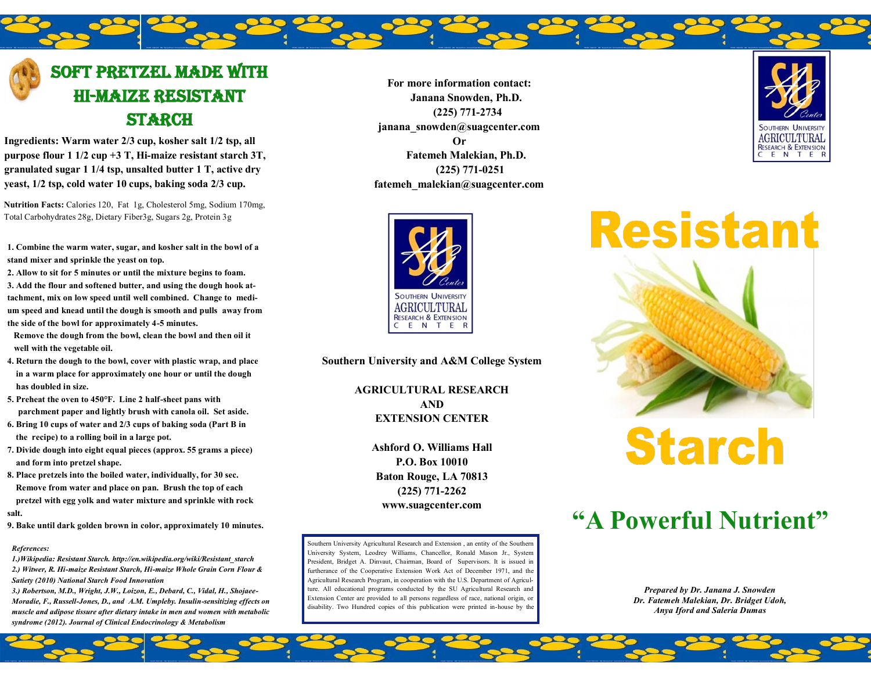#### Soft Pretzel Made with hi-maize resistant **STARCH**

**Ingredients: Warm water 2/3 cup, kosher salt 1/2 tsp, all purpose flour 1 1/2 cup +3 T, Hi-maize resistant starch 3T, granulated sugar 1 1/4 tsp, unsalted butter 1 T, active dry yeast, 1/2 tsp, cold water 10 cups, baking soda 2/3 cup.**

**Nutrition Facts:** Calories 120, Fat 1g, Cholesterol 5mg, Sodium 170mg, Total Carbohydrates 28g, Dietary Fiber3g, Sugars 2g, Protein 3g

**1. Combine the warm water, sugar, and kosher salt in the bowl of a stand mixer and sprinkle the yeast on top.** 

**2. Allow to sit for 5 minutes or until the mixture begins to foam. 3. Add the flour and softened butter, and using the dough hook attachment, mix on low speed until well combined. Change to medium speed and knead until the dough is smooth and pulls away from the side of the bowl for approximately 4-5 minutes.** 

 **Remove the dough from the bowl, clean the bowl and then oil it well with the vegetable oil.** 

**4. Return the dough to the bowl, cover with plastic wrap, and place in a warm place for approximately one hour or until the dough has doubled in size.** 

**5. Preheat the oven to 450°F. Line 2 half-sheet pans with parchment paper and lightly brush with canola oil. Set aside.** 

- **6. Bring 10 cups of water and 2/3 cups of baking soda (Part B in the recipe) to a rolling boil in a large pot.**
- **7. Divide dough into eight equal pieces (approx. 55 grams a piece) and form into pretzel shape.**
- **8. Place pretzels into the boiled water, individually, for 30 sec. Remove from water and place on pan. Brush the top of each pretzel with egg yolk and water mixture and sprinkle with rock salt.**
- **9. Bake until dark golden brown in color, approximately 10 minutes.**

#### *References:*

*1.)Wikipedia: Resistant Starch. http://en.wikipedia.org/wiki/Resistant\_starch 2.) Witwer, R. Hi-maize Resistant Starch, Hi-maize Whole Grain Corn Flour & Satiety (2010) National Starch Food Innovation*

*3.) Robertson, M.D., Wright, J.W., Loizon, E., Debard, C., Vidal, H., Shojaee-Moradie, F., Russell-Jones, D., and A.M. Umpleby. Insulin-sensitizing effects on muscle and adipose tissure after dietary intake in men and women with metabolic syndrome (2012). Journal of Clinical Endocrinology & Metabolism*

**For more information contact: Janana Snowden, Ph.D. (225) 771-2734 janana\_snowden@suagcenter.com Or Fatemeh Malekian, Ph.D. (225) 771-0251 fatemeh\_malekian@suagcenter.com**





**Southern University and A&M College System**

**AGRICULTURAL RESEARCH AND EXTENSION CENTER**

> **Ashford O. Williams Hall P.O. Box 10010 Baton Rouge, LA 70813 (225) 771-2262 www.suagcenter.com**

Southern University Agricultural Research and Extension , an entity of the Southern University System, Leodrey Williams, Chancellor, Ronald Mason Jr., System President, Bridget A. Dinvaut, Chairman, Board of Supervisors. It is issued in furtherance of the Cooperative Extension Work Act of December 1971, and the Agricultural Research Program, in cooperation with the U.S. Department of Agriculture. All educational programs conducted by the SU Agricultural Research and Extension Center are provided to all persons regardless of race, national origin, or disability. Two Hundred copies of this publication were printed in-house by the



# **Starch**

# **"A Powerful Nutrient"**

*Prepared by Dr. Janana J. Snowden Dr. Fatemeh Malekian, Dr. Bridget Udoh, Anya Iford and Saleria Dumas*